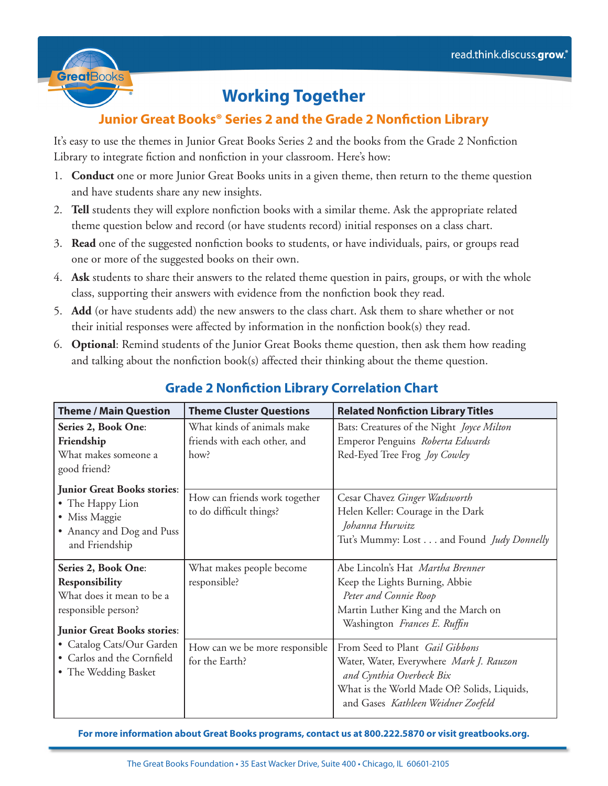

## **Working Together**

## **Junior Great Books® Series 2 and the Grade 2 Nonfiction Library**

It's easy to use the themes in Junior Great Books Series 2 and the books from the Grade 2 Nonfiction Library to integrate fiction and nonfiction in your classroom. Here's how:

- 1. **Conduct** one or more Junior Great Books units in a given theme, then return to the theme question and have students share any new insights.
- 2. **Tell** students they will explore nonfiction books with a similar theme. Ask the appropriate related theme question below and record (or have students record) initial responses on a class chart.
- 3. **Read** one of the suggested nonfiction books to students, or have individuals, pairs, or groups read one or more of the suggested books on their own.
- 4. **Ask** students to share their answers to the related theme question in pairs, groups, or with the whole class, supporting their answers with evidence from the nonfiction book they read.
- 5. **Add** (or have students add) the new answers to the class chart. Ask them to share whether or not their initial responses were affected by information in the nonfiction book(s) they read.
- 6. **Optional**: Remind students of the Junior Great Books theme question, then ask them how reading and talking about the nonfiction book(s) affected their thinking about the theme question.

| <b>Theme / Main Question</b>                                                                                                    | <b>Theme Cluster Questions</b>                                     | <b>Related Nonfiction Library Titles</b>                                                                                                                                                    |
|---------------------------------------------------------------------------------------------------------------------------------|--------------------------------------------------------------------|---------------------------------------------------------------------------------------------------------------------------------------------------------------------------------------------|
| Series 2, Book One:<br>Friendship<br>What makes someone a<br>good friend?                                                       | What kinds of animals make<br>friends with each other, and<br>how? | Bats: Creatures of the Night Joyce Milton<br>Emperor Penguins Roberta Edwards<br>Red-Eyed Tree Frog Joy Cowley                                                                              |
| <b>Junior Great Books stories:</b><br>• The Happy Lion<br>• Miss Maggie<br>• Anancy and Dog and Puss<br>and Friendship          | How can friends work together<br>to do difficult things?           | Cesar Chavez Ginger Wadsworth<br>Helen Keller: Courage in the Dark<br>Johanna Hurwitz<br>Tut's Mummy: Lost and Found Judy Donnelly                                                          |
| Series 2, Book One:<br>Responsibility<br>What does it mean to be a<br>responsible person?<br><b>Junior Great Books stories:</b> | What makes people become<br>responsible?                           | Abe Lincoln's Hat Martha Brenner<br>Keep the Lights Burning, Abbie<br>Peter and Connie Roop<br>Martin Luther King and the March on<br>Washington Frances E. Ruffin                          |
| • Catalog Cats/Our Garden<br>• Carlos and the Cornfield<br>• The Wedding Basket                                                 | How can we be more responsible<br>for the Earth?                   | From Seed to Plant Gail Gibbons<br>Water, Water, Everywhere Mark J. Rauzon<br>and Cynthia Overbeck Bix<br>What is the World Made Of? Solids, Liquids,<br>and Gases Kathleen Weidner Zoefeld |

## **Grade 2 Nonfiction Library Correlation Chart**

**For more information about Great Books programs, contact us at 800.222.5870 or visit greatbooks.org.**